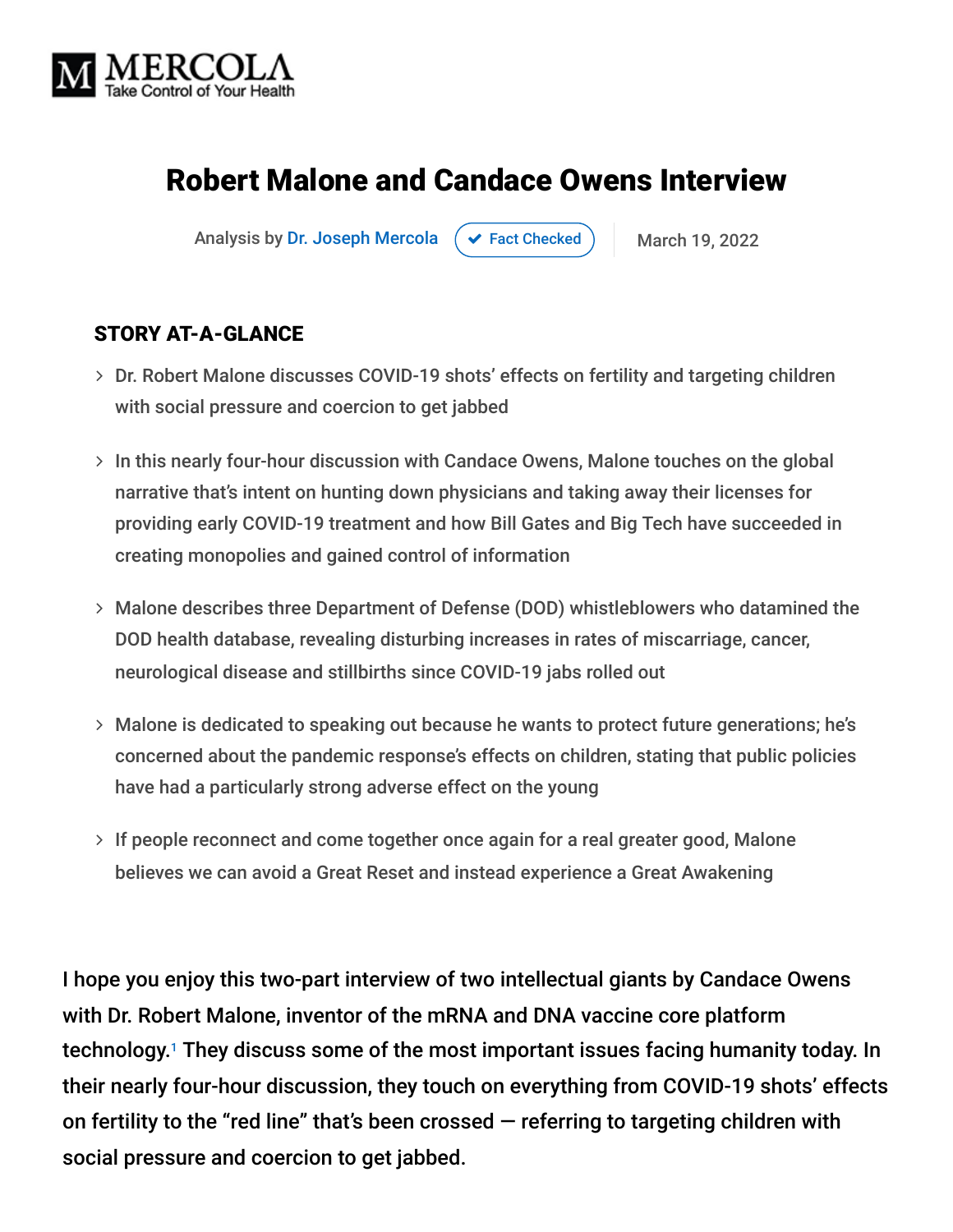

# Robert Malone and Candace Owens Interview

Analysis by [Dr. Joseph Mercola](https://www.mercola.com/forms/background.htm)  $\rightarrow$  [Fact Checked](javascript:void(0)) March 19, 2022

### STORY AT-A-GLANCE

- Dr. Robert Malone discusses COVID-19 shots' effects on fertility and targeting children with social pressure and coercion to get jabbed
- $>$  In this nearly four-hour discussion with Candace Owens, Malone touches on the global narrative that's intent on hunting down physicians and taking away their licenses for providing early COVID-19 treatment and how Bill Gates and Big Tech have succeeded in creating monopolies and gained control of information
- Malone describes three Department of Defense (DOD) whistleblowers who datamined the DOD health database, revealing disturbing increases in rates of miscarriage, cancer, neurological disease and stillbirths since COVID-19 jabs rolled out
- Malone is dedicated to speaking out because he wants to protect future generations; he's concerned about the pandemic response's effects on children, stating that public policies have had a particularly strong adverse effect on the young
- $>$  If people reconnect and come together once again for a real greater good, Malone believes we can avoid a Great Reset and instead experience a Great Awakening

I hope you enjoy this two-part interview of two intellectual giants by Candace Owens with Dr. Robert Malone, inventor of the mRNA and DNA vaccine core platform technology.<sup>1</sup> They discuss some of the most important issues facing humanity today. In their nearly four-hour discussion, they touch on everything from COVID-19 shots' effects on fertility to the "red line" that's been crossed  $-$  referring to targeting children with social pressure and coercion to get jabbed.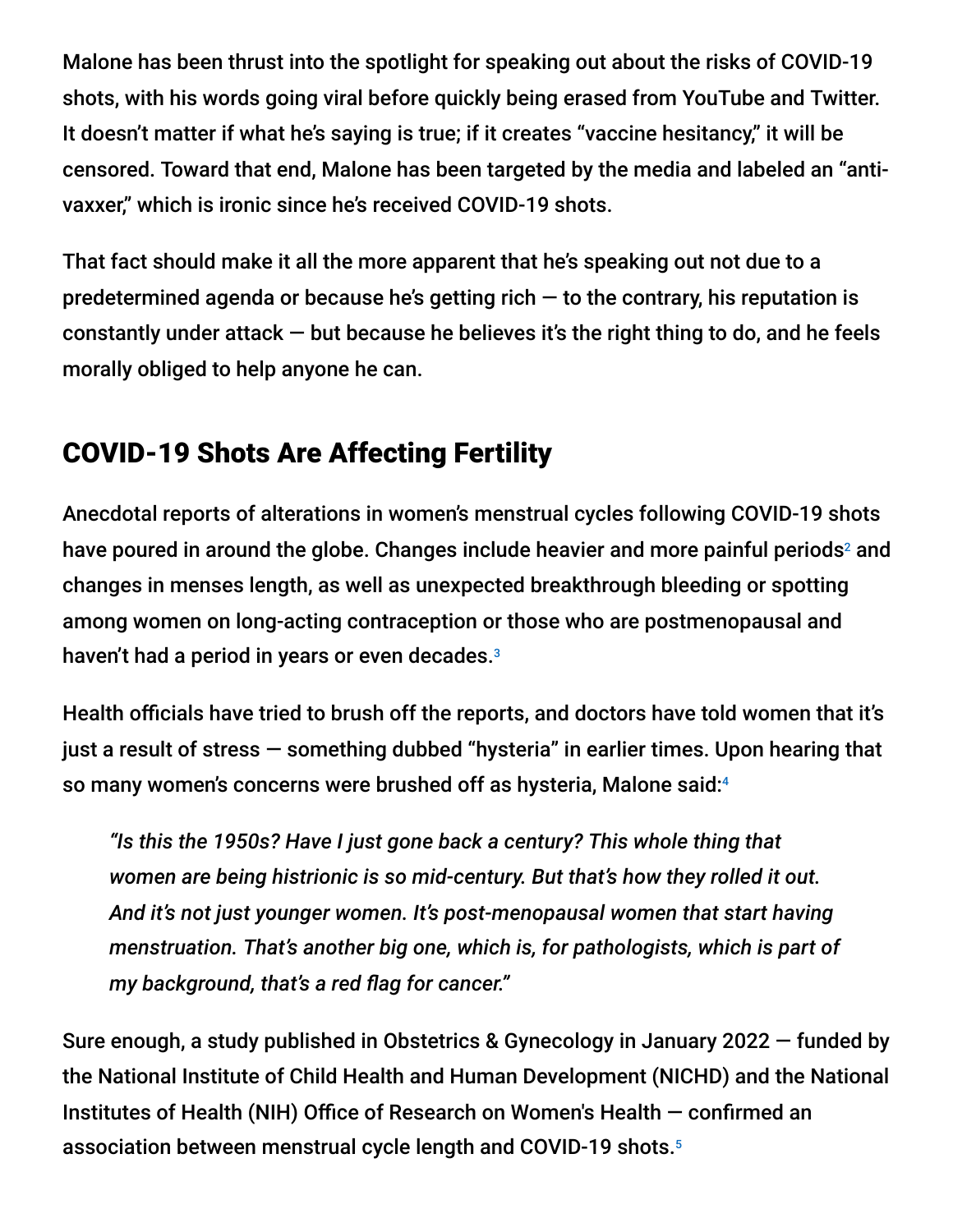Malone has been thrust into the spotlight for speaking out about the risks of COVID-19 shots, with his words going viral before quickly being erased from YouTube and Twitter. It doesn't matter if what he's saying is true; if it creates "vaccine hesitancy," it will be censored. Toward that end, Malone has been targeted by the media and labeled an "antivaxxer," which is ironic since he's received COVID-19 shots.

That fact should make it all the more apparent that he's speaking out not due to a predetermined agenda or because he's getting rich  $-$  to the contrary, his reputation is constantly under attack  $-$  but because he believes it's the right thing to do, and he feels morally obliged to help anyone he can.

# COVID-19 Shots Are Affecting Fertility

Anecdotal reports of alterations in women's menstrual cycles following COVID-19 shots have poured in around the globe. Changes include heavier and more painful periods<sup>2</sup> and changes in menses length, as well as unexpected breakthrough bleeding or spotting among women on long-acting contraception or those who are postmenopausal and haven't had a period in years or even decades. 3

Health officials have tried to brush off the reports, and doctors have told women that it's just a result of stress — something dubbed "hysteria" in earlier times. Upon hearing that so many women's concerns were brushed off as hysteria, Malone said: 4

*"Is this the 1950s? Have I just gone back a century? This whole thing that women are being histrionic is so mid-century. But that's how they rolled it out. And it's not just younger women. It's post-menopausal women that start having menstruation. That's another big one, which is, for pathologists, which is part of my background, that's a red flag for cancer."*

Sure enough, a study published in Obstetrics & Gynecology in January 2022 — funded by the National Institute of Child Health and Human Development (NICHD) and the National Institutes of Health (NIH) Office of Research on Women's Health — confirmed an association between menstrual cycle length and COVID-19 shots. 5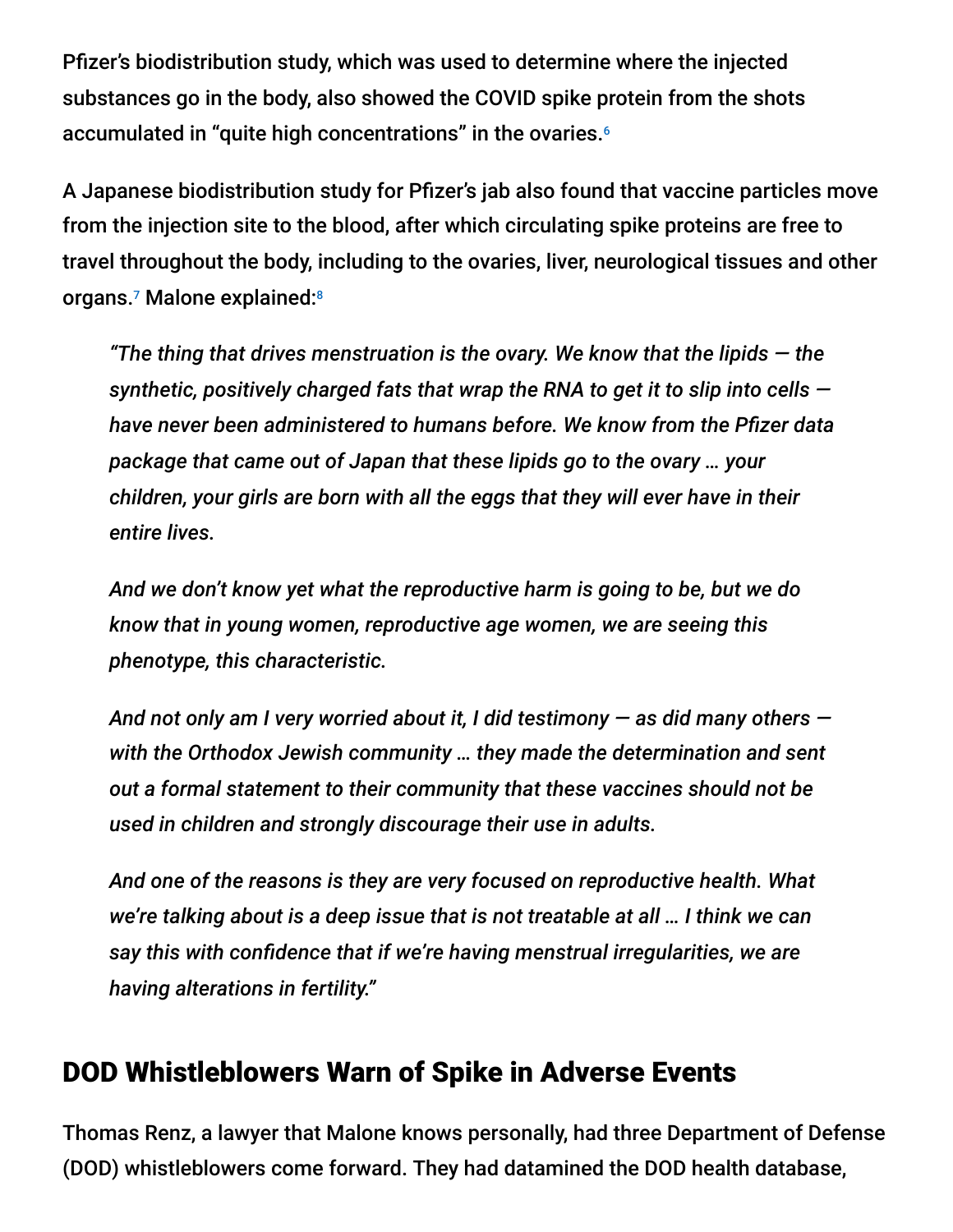Pfizer's biodistribution study, which was used to determine where the injected substances go in the body, also showed the COVID spike protein from the shots accumulated in "quite high concentrations" in the ovaries. 6

A Japanese biodistribution study for Pfizer's jab also found that vaccine particles move from the injection site to the blood, after which circulating spike proteins are free to travel throughout the body, including to the ovaries, liver, neurological tissues and other organs.<sup>7</sup> Malone explained:<sup>8</sup>

*"The thing that drives menstruation is the ovary. We know that the lipids — the synthetic, positively charged fats that wrap the RNA to get it to slip into cells have never been administered to humans before. We know from the Pfizer data package that came out of Japan that these lipids go to the ovary … your children, your girls are born with all the eggs that they will ever have in their entire lives.*

*And we don't know yet what the reproductive harm is going to be, but we do know that in young women, reproductive age women, we are seeing this phenotype, this characteristic.*

*And not only am I very worried about it, I did testimony — as did many others with the Orthodox Jewish community … they made the determination and sent out a formal statement to their community that these vaccines should not be used in children and strongly discourage their use in adults.*

*And one of the reasons is they are very focused on reproductive health. What we're talking about is a deep issue that is not treatable at all … I think we can say this with confidence that if we're having menstrual irregularities, we are having alterations in fertility."*

# DOD Whistleblowers Warn of Spike in Adverse Events

Thomas Renz, a lawyer that Malone knows personally, had three Department of Defense (DOD) whistleblowers come forward. They had datamined the DOD health database,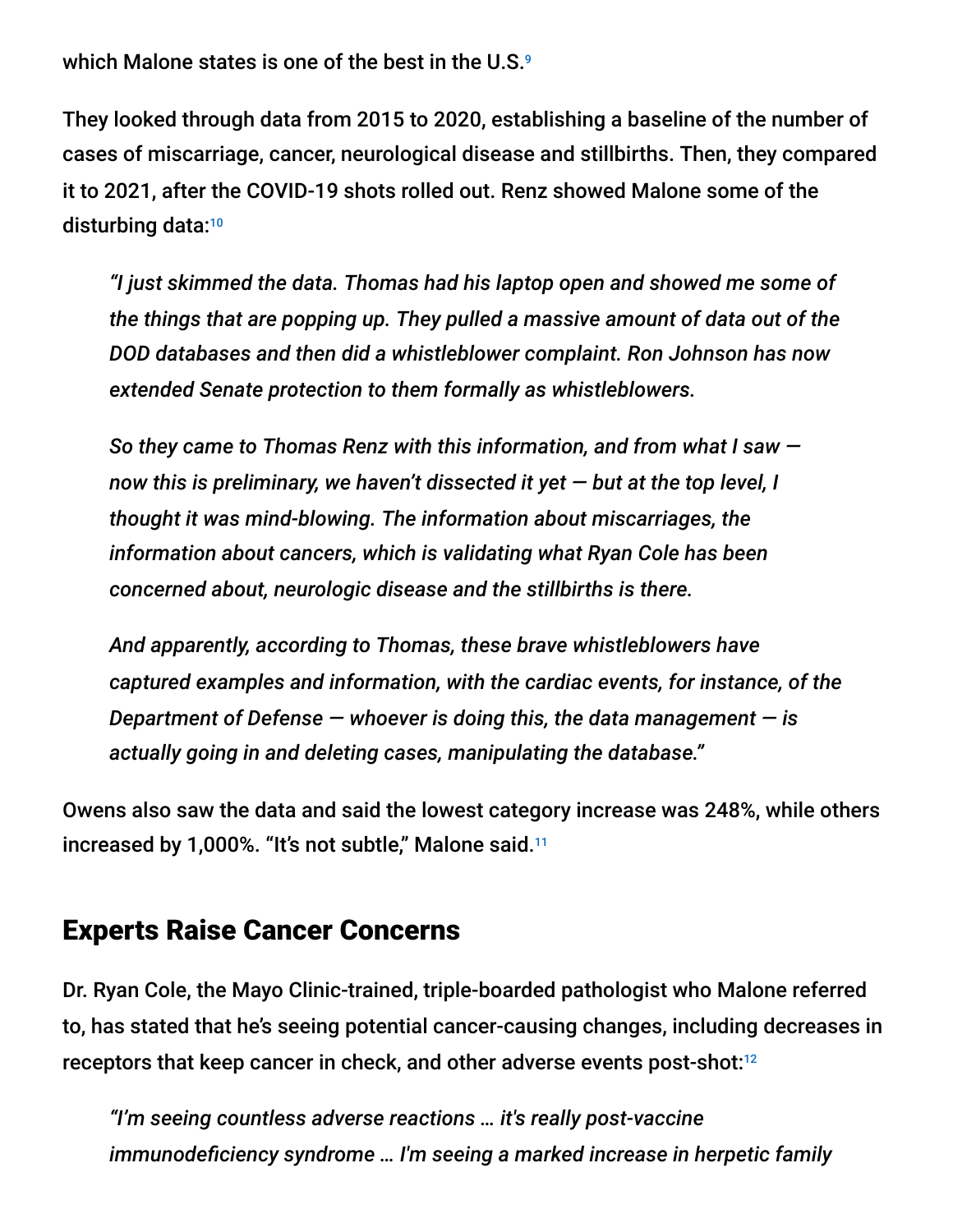which Malone states is one of the best in the U.S. 9

They looked through data from 2015 to 2020, establishing a baseline of the number of cases of miscarriage, cancer, neurological disease and stillbirths. Then, they compared it to 2021, after the COVID-19 shots rolled out. Renz showed Malone some of the disturbing data: 10

*"I just skimmed the data. Thomas had his laptop open and showed me some of the things that are popping up. They pulled a massive amount of data out of the DOD databases and then did a whistleblower complaint. Ron Johnson has now extended Senate protection to them formally as whistleblowers.*

*So they came to Thomas Renz with this information, and from what I saw now this is preliminary, we haven't dissected it yet — but at the top level, I thought it was mind-blowing. The information about miscarriages, the information about cancers, which is validating what Ryan Cole has been concerned about, neurologic disease and the stillbirths is there.*

*And apparently, according to Thomas, these brave whistleblowers have captured examples and information, with the cardiac events, for instance, of the Department of Defense — whoever is doing this, the data management — is actually going in and deleting cases, manipulating the database."*

Owens also saw the data and said the lowest category increase was 248%, while others increased by 1,000%. "It's not subtle," Malone said. 11

### Experts Raise Cancer Concerns

Dr. Ryan Cole, the Mayo Clinic-trained, triple-boarded pathologist who Malone referred to, has stated that he's seeing potential cancer-causing changes, including decreases in receptors that keep cancer in check, and other adverse events post-shot: 12

*"I'm seeing countless adverse reactions … it's really post-vaccine immunodeficiency syndrome … I'm seeing a marked increase in herpetic family*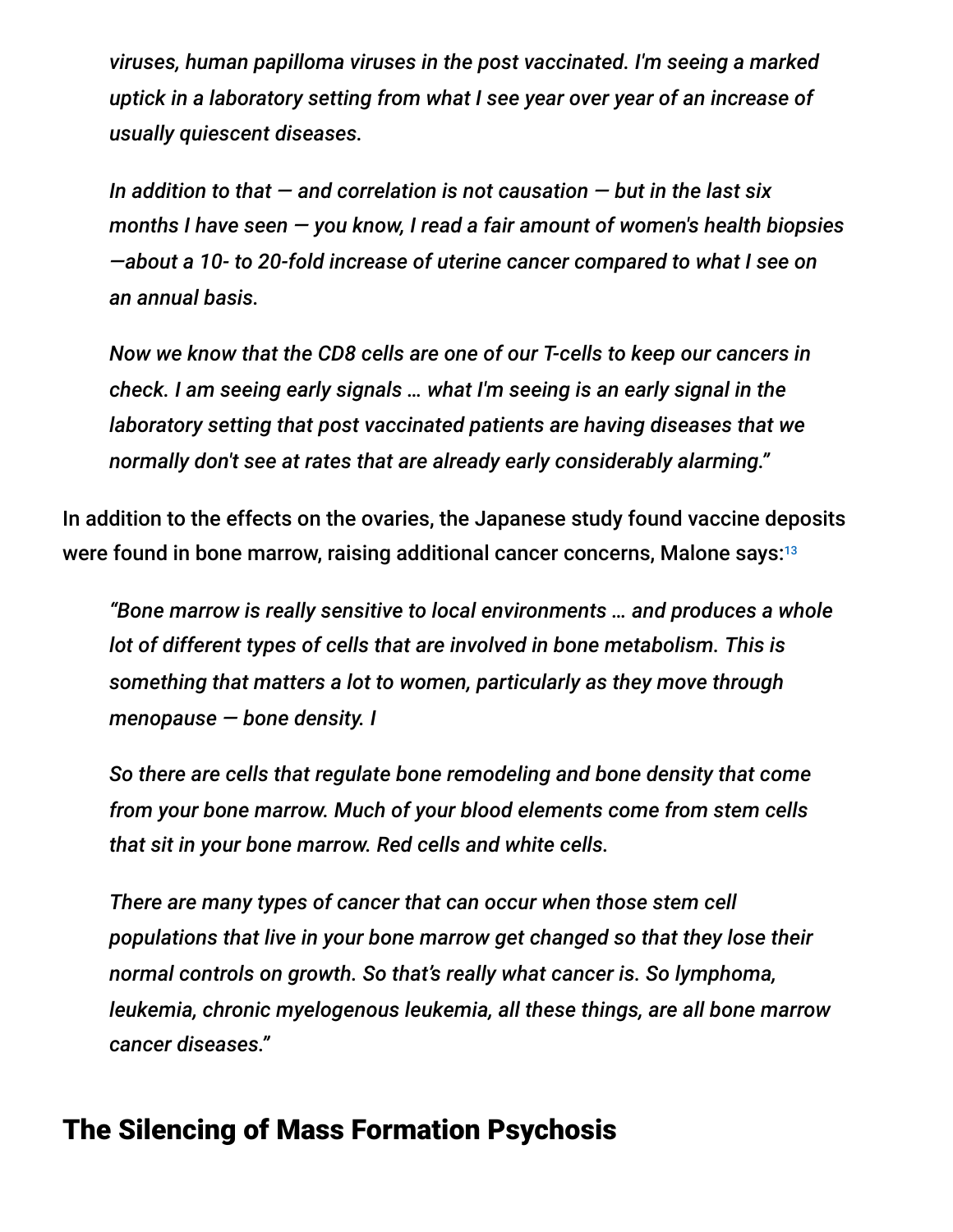*viruses, human papilloma viruses in the post vaccinated. I'm seeing a marked uptick in a laboratory setting from what I see year over year of an increase of usually quiescent diseases.*

*In addition to that — and correlation is not causation — but in the last six months I have seen — you know, I read a fair amount of women's health biopsies —about a 10- to 20-fold increase of uterine cancer compared to what I see on an annual basis.*

*Now we know that the CD8 cells are one of our T-cells to keep our cancers in check. I am seeing early signals … what I'm seeing is an early signal in the laboratory setting that post vaccinated patients are having diseases that we normally don't see at rates that are already early considerably alarming."*

In addition to the effects on the ovaries, the Japanese study found vaccine deposits were found in bone marrow, raising additional cancer concerns, Malone says: $^{\rm 13}$ 

*"Bone marrow is really sensitive to local environments … and produces a whole lot of different types of cells that are involved in bone metabolism. This is something that matters a lot to women, particularly as they move through menopause — bone density. I*

*So there are cells that regulate bone remodeling and bone density that come from your bone marrow. Much of your blood elements come from stem cells that sit in your bone marrow. Red cells and white cells.*

*There are many types of cancer that can occur when those stem cell populations that live in your bone marrow get changed so that they lose their normal controls on growth. So that's really what cancer is. So lymphoma, leukemia, chronic myelogenous leukemia, all these things, are all bone marrow cancer diseases."*

# The Silencing of Mass Formation Psychosis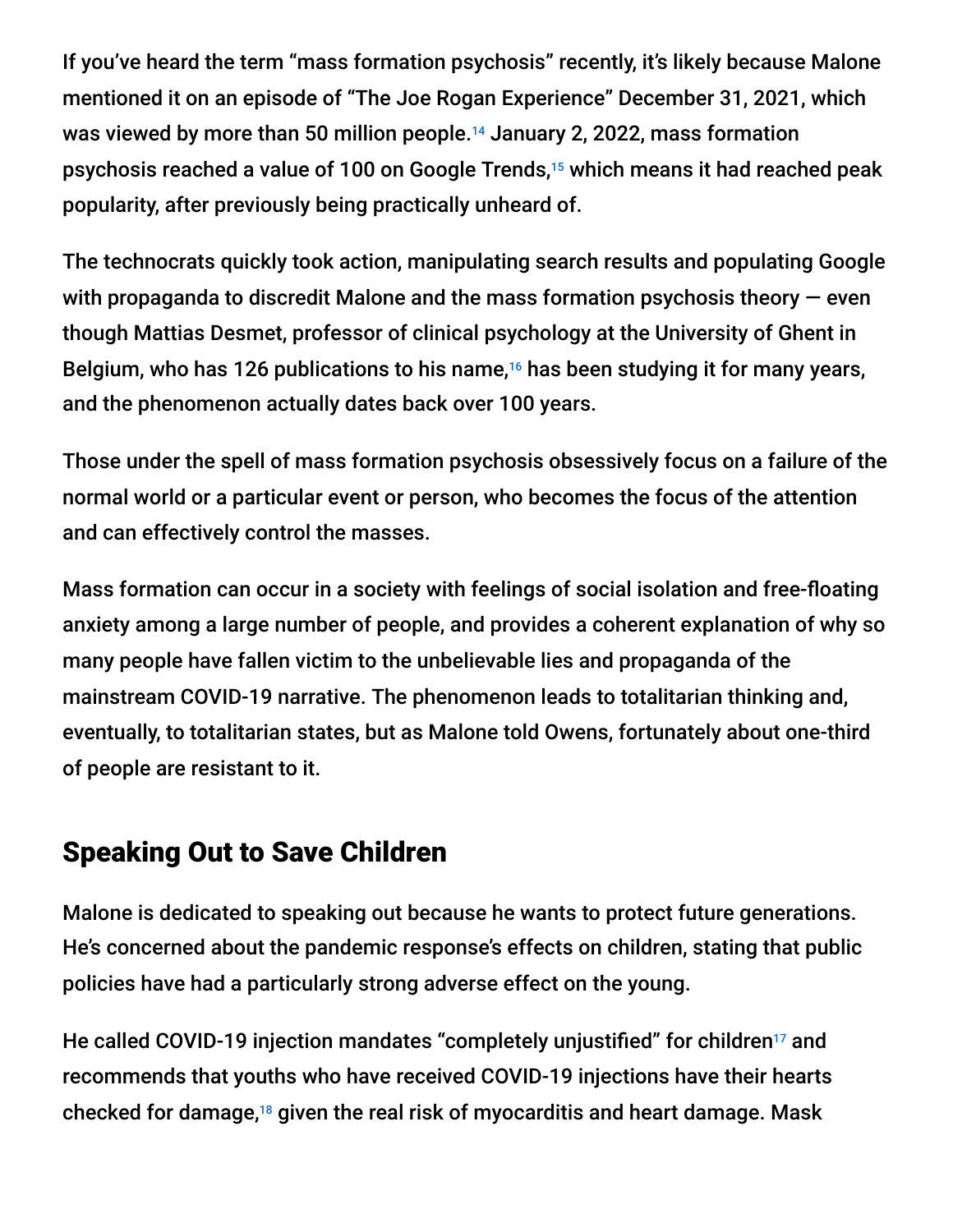If you've heard the term "mass formation psychosis" recently, it's likely because Malone mentioned it on an episode of "The Joe Rogan Experience" December 31, 2021, which was viewed by more than 50 million people. $^{14}$  January 2, 2022, mass formation psychosis reached a value of 100 on Google Trends,<sup>15</sup> which means it had reached peak popularity, after previously being practically unheard of.

The technocrats quickly took action, manipulating search results and populating Google with propaganda to discredit Malone and the mass formation psychosis theory  $-$  even though Mattias Desmet, professor of clinical psychology at the University of Ghent in Belgium, who has 126 publications to his name, $16$  has been studying it for many years, and the phenomenon actually dates back over 100 years.

Those under the spell of mass formation psychosis obsessively focus on a failure of the normal world or a particular event or person, who becomes the focus of the attention and can effectively control the masses.

Mass formation can occur in a society with feelings of social isolation and free-floating anxiety among a large number of people, and provides a coherent explanation of why so many people have fallen victim to the unbelievable lies and propaganda of the mainstream COVID-19 narrative. The phenomenon leads to totalitarian thinking and, eventually, to totalitarian states, but as Malone told Owens, fortunately about one-third of people are resistant to it.

# Speaking Out to Save Children

Malone is dedicated to speaking out because he wants to protect future generations. He's concerned about the pandemic response's effects on children, stating that public policies have had a particularly strong adverse effect on the young.

He called COVID-19 injection mandates "completely unjustified" for children<sup>17</sup> and recommends that youths who have received COVID-19 injections have their hearts checked for damage, $18$  given the real risk of myocarditis and heart damage. Mask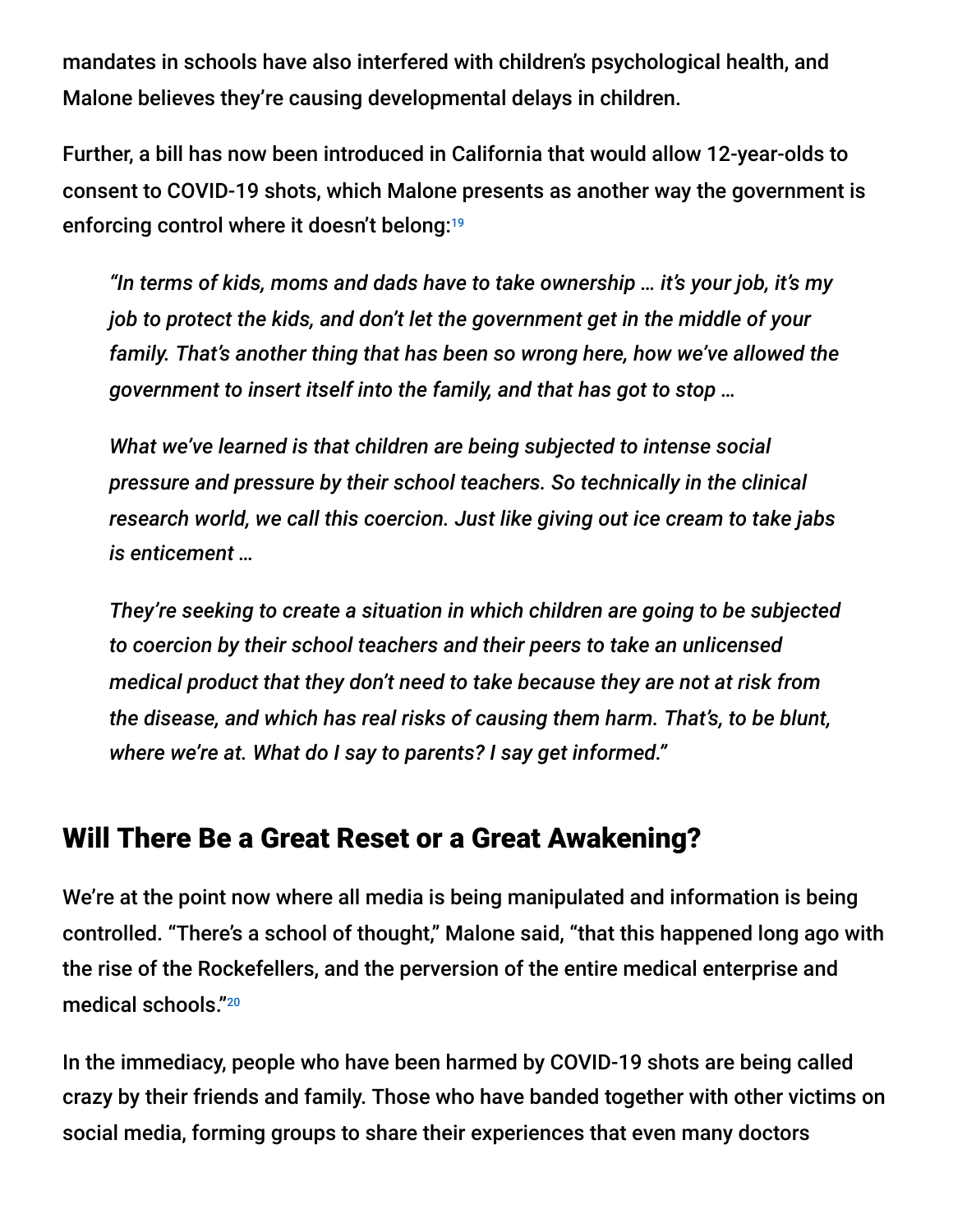mandates in schools have also interfered with children's psychological health, and Malone believes they're causing developmental delays in children.

Further, a bill has now been introduced in California that would allow 12-year-olds to consent to COVID-19 shots, which Malone presents as another way the government is enforcing control where it doesn't belong: 19

*"In terms of kids, moms and dads have to take ownership … it's your job, it's my job to protect the kids, and don't let the government get in the middle of your family. That's another thing that has been so wrong here, how we've allowed the government to insert itself into the family, and that has got to stop …*

*What we've learned is that children are being subjected to intense social pressure and pressure by their school teachers. So technically in the clinical research world, we call this coercion. Just like giving out ice cream to take jabs is enticement …*

*They're seeking to create a situation in which children are going to be subjected to coercion by their school teachers and their peers to take an unlicensed medical product that they don't need to take because they are not at risk from the disease, and which has real risks of causing them harm. That's, to be blunt, where we're at. What do I say to parents? I say get informed."*

# Will There Be a Great Reset or a Great Awakening?

We're at the point now where all media is being manipulated and information is being controlled. "There's a school of thought," Malone said, "that this happened long ago with the rise of the Rockefellers, and the perversion of the entire medical enterprise and medical schools." 20

In the immediacy, people who have been harmed by COVID-19 shots are being called crazy by their friends and family. Those who have banded together with other victims on social media, forming groups to share their experiences that even many doctors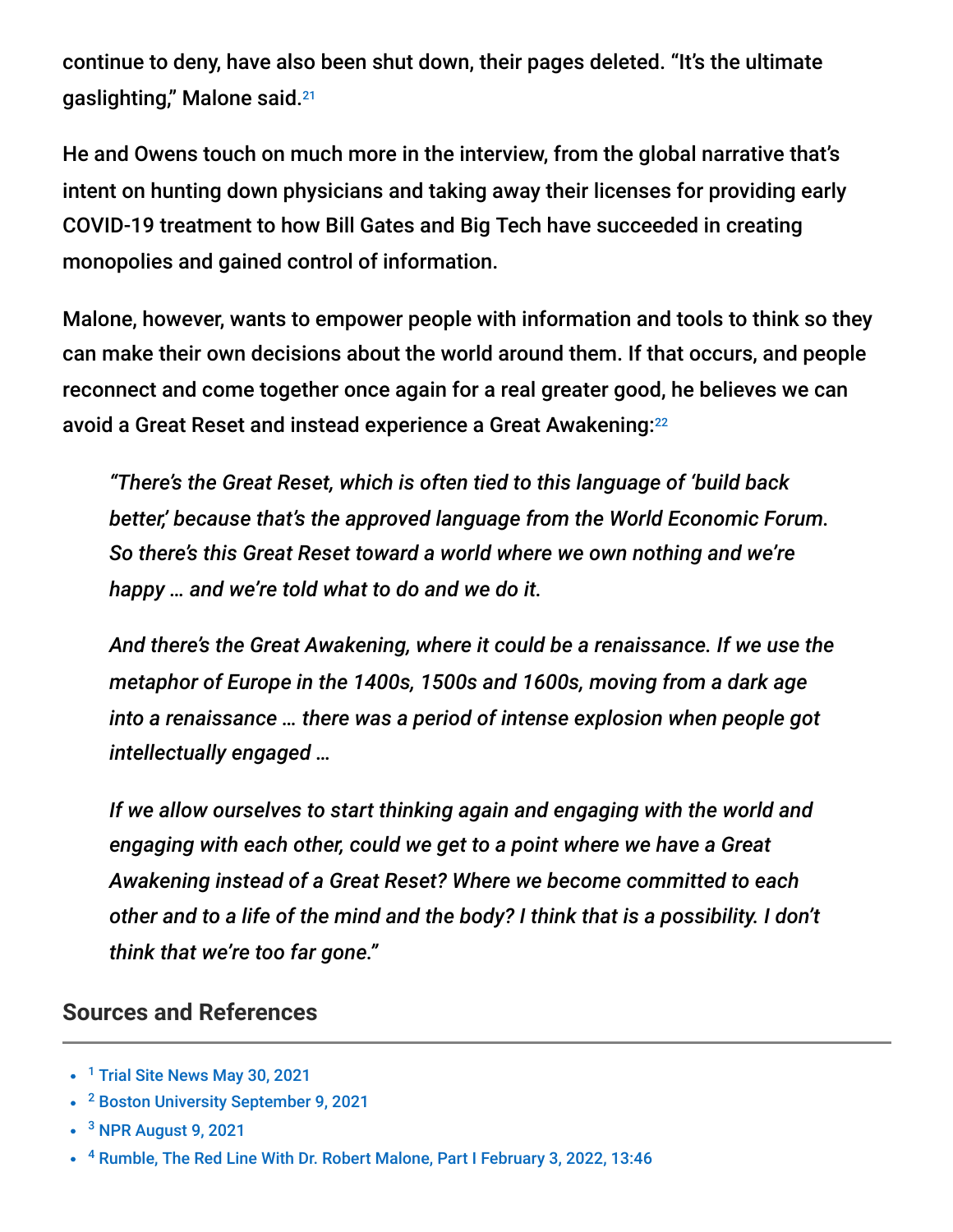continue to deny, have also been shut down, their pages deleted. "It's the ultimate gaslighting," Malone said. 21

He and Owens touch on much more in the interview, from the global narrative that's intent on hunting down physicians and taking away their licenses for providing early COVID-19 treatment to how Bill Gates and Big Tech have succeeded in creating monopolies and gained control of information.

Malone, however, wants to empower people with information and tools to think so they can make their own decisions about the world around them. If that occurs, and people reconnect and come together once again for a real greater good, he believes we can avoid a Great Reset and instead experience a Great Awakening: 22

*"There's the Great Reset, which is often tied to this language of 'build back better,' because that's the approved language from the World Economic Forum. So there's this Great Reset toward a world where we own nothing and we're happy … and we're told what to do and we do it.*

*And there's the Great Awakening, where it could be a renaissance. If we use the metaphor of Europe in the 1400s, 1500s and 1600s, moving from a dark age into a renaissance … there was a period of intense explosion when people got intellectually engaged …*

*If we allow ourselves to start thinking again and engaging with the world and engaging with each other, could we get to a point where we have a Great Awakening instead of a Great Reset? Where we become committed to each other and to a life of the mind and the body? I think that is a possibility. I don't think that we're too far gone."*

#### **Sources and References**

- <sup>1</sup> [Trial Site News May 30, 2021](https://trialsitenews.com/bioethics-of-experimental-covid-vaccine-deployment-under-eua-its-time-we-stop-and-look-at-whats-going-down/)
- <sup>2</sup> [Boston University September 9, 2021](https://www.bu.edu/articles/2021/do-covid-vaccines-affect-menstruation/)
- <sup>3</sup> [NPR August 9, 2021](https://www.npr.org/sections/health-shots/2021/08/09/1024190379/covid-vaccine-period-menstrual-cycle-research)
- <sup>4</sup> [Rumble, The Red Line With Dr. Robert Malone, Part I February 3, 2022, 13:46](https://rumble.com/vu0eje-the-red-line-with-dr.-robert-malone-part-1.html?utm_source=pocket_mylist)